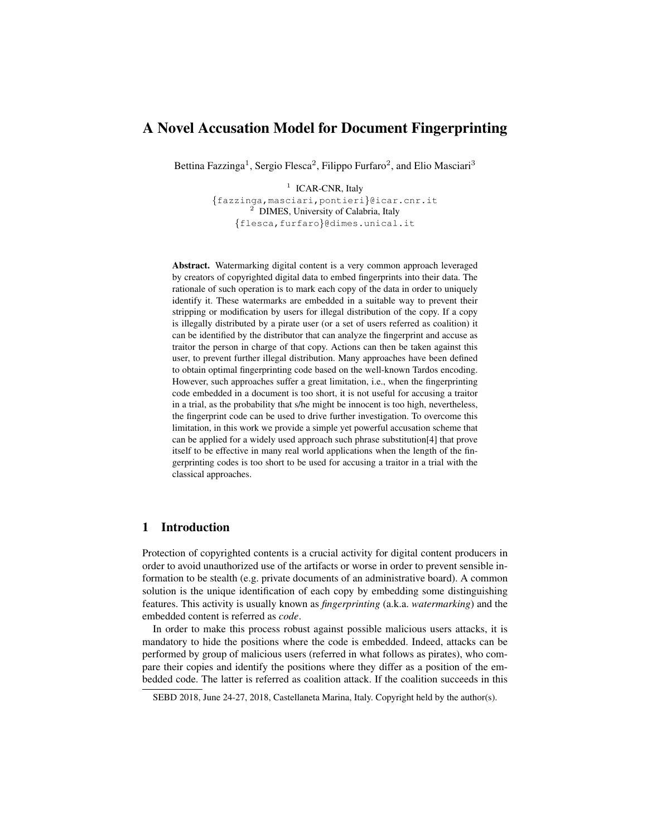# A Novel Accusation Model for Document Fingerprinting

Bettina Fazzinga<sup>1</sup>, Sergio Flesca<sup>2</sup>, Filippo Furfaro<sup>2</sup>, and Elio Masciari<sup>3</sup>

<sup>1</sup> ICAR-CNR, Italy {fazzinga,masciari,pontieri}@icar.cnr.it <sup>2</sup> DIMES, University of Calabria, Italy {flesca,furfaro}@dimes.unical.it

Abstract. Watermarking digital content is a very common approach leveraged by creators of copyrighted digital data to embed fingerprints into their data. The rationale of such operation is to mark each copy of the data in order to uniquely identify it. These watermarks are embedded in a suitable way to prevent their stripping or modification by users for illegal distribution of the copy. If a copy is illegally distributed by a pirate user (or a set of users referred as coalition) it can be identified by the distributor that can analyze the fingerprint and accuse as traitor the person in charge of that copy. Actions can then be taken against this user, to prevent further illegal distribution. Many approaches have been defined to obtain optimal fingerprinting code based on the well-known Tardos encoding. However, such approaches suffer a great limitation, i.e., when the fingerprinting code embedded in a document is too short, it is not useful for accusing a traitor in a trial, as the probability that s/he might be innocent is too high, nevertheless, the fingerprint code can be used to drive further investigation. To overcome this limitation, in this work we provide a simple yet powerful accusation scheme that can be applied for a widely used approach such phrase substitution[4] that prove itself to be effective in many real world applications when the length of the fingerprinting codes is too short to be used for accusing a traitor in a trial with the classical approaches.

# 1 Introduction

Protection of copyrighted contents is a crucial activity for digital content producers in order to avoid unauthorized use of the artifacts or worse in order to prevent sensible information to be stealth (e.g. private documents of an administrative board). A common solution is the unique identification of each copy by embedding some distinguishing features. This activity is usually known as *fingerprinting* (a.k.a. *watermarking*) and the embedded content is referred as *code*.

In order to make this process robust against possible malicious users attacks, it is mandatory to hide the positions where the code is embedded. Indeed, attacks can be performed by group of malicious users (referred in what follows as pirates), who compare their copies and identify the positions where they differ as a position of the embedded code. The latter is referred as coalition attack. If the coalition succeeds in this

SEBD 2018, June 24-27, 2018, Castellaneta Marina, Italy. Copyright held by the author(s).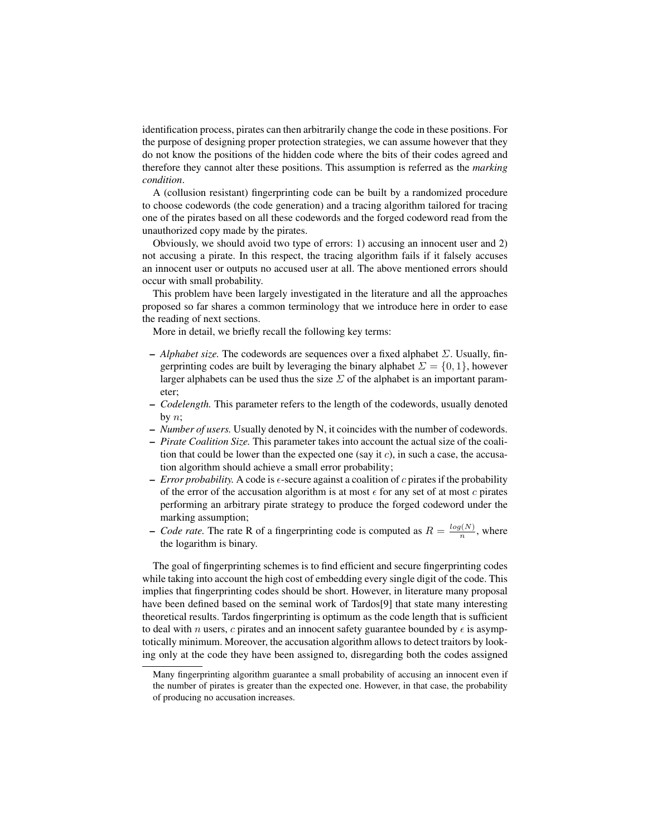identification process, pirates can then arbitrarily change the code in these positions. For the purpose of designing proper protection strategies, we can assume however that they do not know the positions of the hidden code where the bits of their codes agreed and therefore they cannot alter these positions. This assumption is referred as the *marking condition*.

A (collusion resistant) fingerprinting code can be built by a randomized procedure to choose codewords (the code generation) and a tracing algorithm tailored for tracing one of the pirates based on all these codewords and the forged codeword read from the unauthorized copy made by the pirates.

Obviously, we should avoid two type of errors: 1) accusing an innocent user and 2) not accusing a pirate. In this respect, the tracing algorithm fails if it falsely accuses an innocent user or outputs no accused user at all. The above mentioned errors should occur with small probability.

This problem have been largely investigated in the literature and all the approaches proposed so far shares a common terminology that we introduce here in order to ease the reading of next sections.

More in detail, we briefly recall the following key terms:

- $-$  *Alphabet size.* The codewords are sequences over a fixed alphabet  $\Sigma$ . Usually, fingerprinting codes are built by leveraging the binary alphabet  $\Sigma = \{0, 1\}$ , however larger alphabets can be used thus the size  $\Sigma$  of the alphabet is an important parameter;
- *Codelength.* This parameter refers to the length of the codewords, usually denoted by  $n$ :
- *Number of users.* Usually denoted by N, it coincides with the number of codewords.
- *Pirate Coalition Size.* This parameter takes into account the actual size of the coalition that could be lower than the expected one (say it  $c$ ), in such a case, the accusation algorithm should achieve a small error probability;
- $\overline{P}$   *Error probability.* A code is  $\epsilon$ -secure against a coalition of c pirates if the probability of the error of the accusation algorithm is at most  $\epsilon$  for any set of at most c pirates performing an arbitrary pirate strategy to produce the forged codeword under the marking assumption;
- *Code rate*. The rate R of a fingerprinting code is computed as  $R = \frac{\log(N)}{n}$  $\frac{n(N)}{n}$ , where the logarithm is binary.

The goal of fingerprinting schemes is to find efficient and secure fingerprinting codes while taking into account the high cost of embedding every single digit of the code. This implies that fingerprinting codes should be short. However, in literature many proposal have been defined based on the seminal work of Tardos[9] that state many interesting theoretical results. Tardos fingerprinting is optimum as the code length that is sufficient to deal with n users, c pirates and an innocent safety guarantee bounded by  $\epsilon$  is asymptotically minimum. Moreover, the accusation algorithm allows to detect traitors by looking only at the code they have been assigned to, disregarding both the codes assigned

Many fingerprinting algorithm guarantee a small probability of accusing an innocent even if the number of pirates is greater than the expected one. However, in that case, the probability of producing no accusation increases.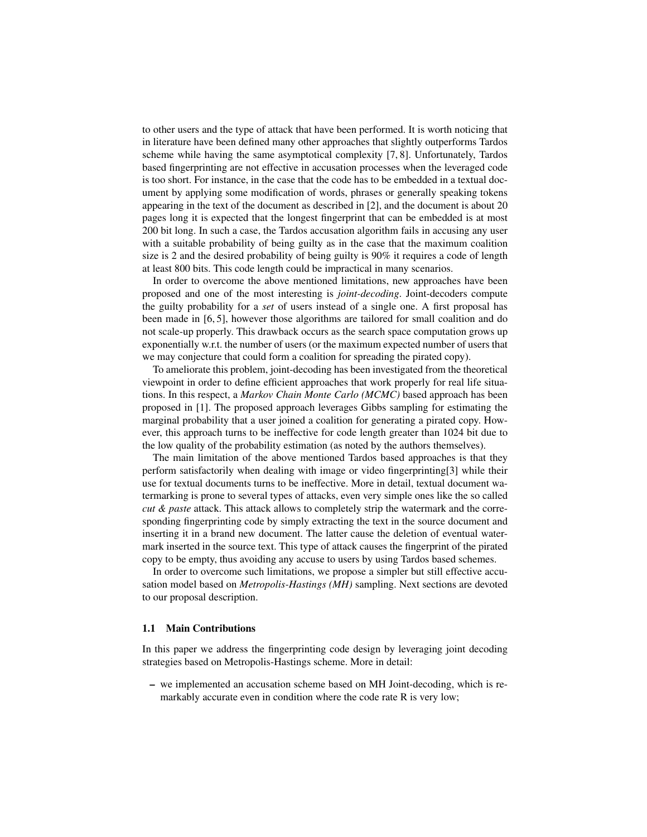to other users and the type of attack that have been performed. It is worth noticing that in literature have been defined many other approaches that slightly outperforms Tardos scheme while having the same asymptotical complexity [7, 8]. Unfortunately, Tardos based fingerprinting are not effective in accusation processes when the leveraged code is too short. For instance, in the case that the code has to be embedded in a textual document by applying some modification of words, phrases or generally speaking tokens appearing in the text of the document as described in [2], and the document is about 20 pages long it is expected that the longest fingerprint that can be embedded is at most 200 bit long. In such a case, the Tardos accusation algorithm fails in accusing any user with a suitable probability of being guilty as in the case that the maximum coalition size is 2 and the desired probability of being guilty is 90% it requires a code of length at least 800 bits. This code length could be impractical in many scenarios.

In order to overcome the above mentioned limitations, new approaches have been proposed and one of the most interesting is *joint-decoding*. Joint-decoders compute the guilty probability for a *set* of users instead of a single one. A first proposal has been made in [6, 5], however those algorithms are tailored for small coalition and do not scale-up properly. This drawback occurs as the search space computation grows up exponentially w.r.t. the number of users (or the maximum expected number of users that we may conjecture that could form a coalition for spreading the pirated copy).

To ameliorate this problem, joint-decoding has been investigated from the theoretical viewpoint in order to define efficient approaches that work properly for real life situations. In this respect, a *Markov Chain Monte Carlo (MCMC)* based approach has been proposed in [1]. The proposed approach leverages Gibbs sampling for estimating the marginal probability that a user joined a coalition for generating a pirated copy. However, this approach turns to be ineffective for code length greater than 1024 bit due to the low quality of the probability estimation (as noted by the authors themselves).

The main limitation of the above mentioned Tardos based approaches is that they perform satisfactorily when dealing with image or video fingerprinting[3] while their use for textual documents turns to be ineffective. More in detail, textual document watermarking is prone to several types of attacks, even very simple ones like the so called *cut & paste* attack. This attack allows to completely strip the watermark and the corresponding fingerprinting code by simply extracting the text in the source document and inserting it in a brand new document. The latter cause the deletion of eventual watermark inserted in the source text. This type of attack causes the fingerprint of the pirated copy to be empty, thus avoiding any accuse to users by using Tardos based schemes.

In order to overcome such limitations, we propose a simpler but still effective accusation model based on *Metropolis-Hastings (MH)* sampling. Next sections are devoted to our proposal description.

#### 1.1 Main Contributions

In this paper we address the fingerprinting code design by leveraging joint decoding strategies based on Metropolis-Hastings scheme. More in detail:

– we implemented an accusation scheme based on MH Joint-decoding, which is remarkably accurate even in condition where the code rate R is very low;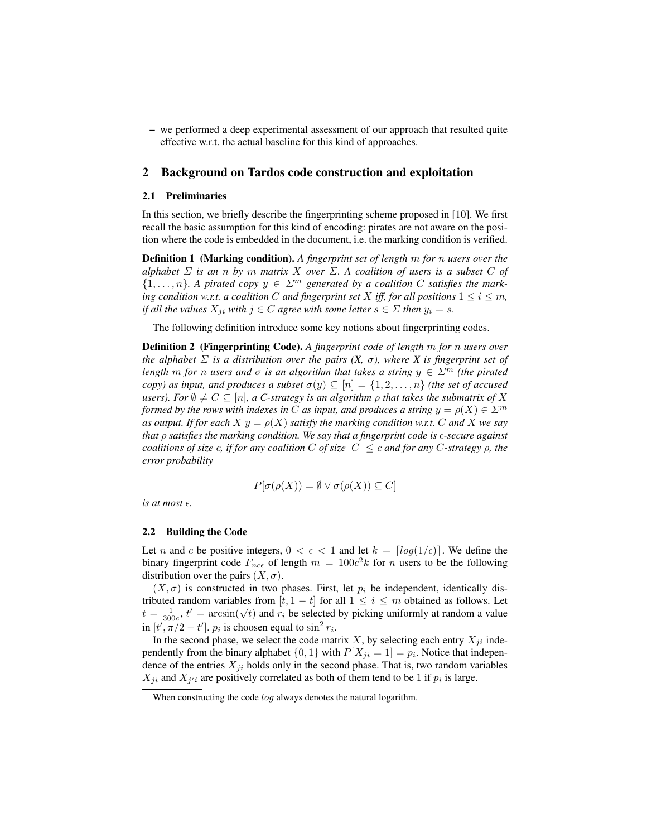– we performed a deep experimental assessment of our approach that resulted quite effective w.r.t. the actual baseline for this kind of approaches.

### 2 Background on Tardos code construction and exploitation

#### 2.1 Preliminaries

In this section, we briefly describe the fingerprinting scheme proposed in [10]. We first recall the basic assumption for this kind of encoding: pirates are not aware on the position where the code is embedded in the document, i.e. the marking condition is verified.

Definition 1 (Marking condition). *A fingerprint set of length* m *for* n *users over the alphabet*  $\Sigma$  *is an n by m matrix* X *over*  $\Sigma$ . A *coalition of users is a subset* C *of*  $\{1,\ldots,n\}$ . A pirated copy  $y \in \mathbb{Z}^m$  generated by a coalition C satisfies the mark*ing condition w.r.t. a coalition* C *and fingerprint set* X *iff, for all positions*  $1 \le i \le m$ *, if all the values*  $X_{ji}$  *with*  $j \in C$  *agree with some letter*  $s \in \Sigma$  *then*  $y_i = s$ *.* 

The following definition introduce some key notions about fingerprinting codes.

Definition 2 (Fingerprinting Code). *A fingerprint code of length* m *for* n *users over the alphabet*  $\Sigma$  *is a distribution over the pairs (X, σ), where X is fingerprint set of length* m *for n users* and  $\sigma$  *is an algorithm that takes a string*  $y \in \Sigma^m$  *(the pirated copy) as input, and produces a subset*  $\sigma(y) \subseteq [n] = \{1, 2, ..., n\}$  *(the set of accused users). For*  $\emptyset \neq C \subseteq [n]$ , a C-strategy is an algorithm  $\rho$  that takes the submatrix of X *formed by the rows with indexes in* C *as input, and produces a string*  $y = \rho(X) \in \Sigma^m$ *as output. If for each*  $X$   $y = \rho(X)$  *satisfy the marking condition w.r.t.* C *and* X *we say that ρ* satisfies the marking condition. We say that a fingerprint code is  $\epsilon$ -secure against *coalitions of size c, if for any coalition C of size*  $|C| \leq c$  *and for any C-strategy*  $\rho$ *, the error probability*

$$
P[\sigma(\rho(X)) = \emptyset \lor \sigma(\rho(X)) \subseteq C]
$$

*is at most*  $\epsilon$ *.* 

### 2.2 Building the Code

Let n and c be positive integers,  $0 < \epsilon < 1$  and let  $k = \lfloor log(1/\epsilon) \rfloor$ . We define the binary fingerprint code  $F_{nce}$  of length  $m = 100c^2k$  for n users to be the following distribution over the pairs  $(X, \sigma)$ .

 $(X, \sigma)$  is constructed in two phases. First, let  $p_i$  be independent, identically distributed random variables from  $[t, 1 - t]$  for all  $1 \le i \le m$  obtained as follows. Let tributed random variables from  $[t, 1 - t]$  for all  $1 \le i \le m$  obtained as follows. Let  $t = \frac{1}{300c}$ ,  $t' = \arcsin(\sqrt{t})$  and  $r_i$  be selected by picking uniformly at random a value in  $[t', \pi/2 - t']$ .  $p_i$  is choosen equal to  $\sin^2 r_i$ .

In the second phase, we select the code matrix  $X$ , by selecting each entry  $X_{ji}$  independently from the binary alphabet  $\{0, 1\}$  with  $P[X_{ji} = 1] = p_i$ . Notice that independence of the entries  $X_{ji}$  holds only in the second phase. That is, two random variables  $X_{ji}$  and  $X_{j'i}$  are positively correlated as both of them tend to be 1 if  $p_i$  is large.

When constructing the code *loq* always denotes the natural logarithm.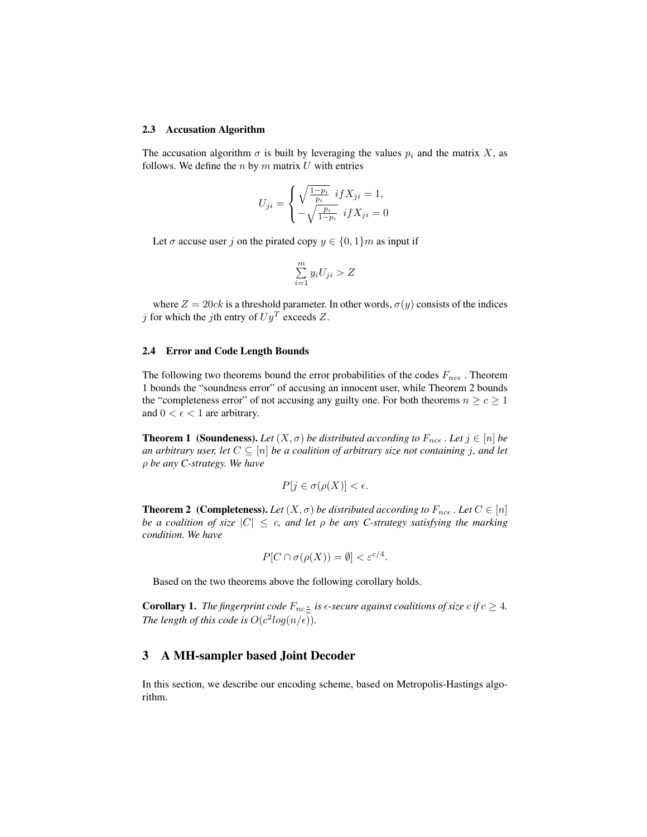#### 2.3 Accusation Algorithm

The accusation algorithm  $\sigma$  is built by leveraging the values  $p_i$  and the matrix X, as follows. We define the  $n$  by  $m$  matrix  $U$  with entries

$$
U_{ji} = \begin{cases} \sqrt{\frac{1 - p_i}{p_i}} \ i f X_{ji} = 1, \\ -\sqrt{\frac{p_i}{1 - p_i}} \ i f X_{ji} = 0 \end{cases}
$$

Let  $\sigma$  accuse user j on the pirated copy  $y \in \{0, 1\}$ m as input if

$$
\sum_{i=1}^{m} y_i U_{ji} > Z
$$

where  $Z = 20ck$  is a threshold parameter. In other words,  $\sigma(y)$  consists of the indices j for which the jth entry of  $Uy^T$  exceeds Z.

#### 2.4 Error and Code Length Bounds

The following two theorems bound the error probabilities of the codes  $F_{nce}$ . Theorem 1 bounds the "soundness error" of accusing an innocent user, while Theorem 2 bounds the "completeness error" of not accusing any guilty one. For both theorems  $n \ge c \ge 1$ and  $0 < \epsilon < 1$  are arbitrary.

**Theorem 1** (Soundeness). Let  $(X, \sigma)$  be distributed according to  $F_{\text{nce}}$ . Let  $j \in [n]$  be *an arbitrary user, let*  $C \subseteq [n]$  *be a coalition of arbitrary size not containing j, and let* ρ *be any C-strategy. We have*

$$
P[j \in \sigma(\rho(X)) < \epsilon.
$$

**Theorem 2** (Completeness). Let  $(X, \sigma)$  be distributed according to  $F_{\text{nce}}$ . Let  $C \in [n]$ *be a coalition of size*  $|C| \leq c$ , and let  $\rho$  *be any C-strategy satisfying the marking condition. We have*

$$
P[C \cap \sigma(\rho(X)) = \emptyset] < \varepsilon^{c/4}.
$$

Based on the two theorems above the following corollary holds.

**Corollary 1.** The fingerprint code  $F_{nc\frac{\epsilon}{n}}$  is  $\epsilon$ -secure against coalitions of size c if  $c \geq 4$ . *The length of this code is*  $O(c^2 log(n/\epsilon))$ *.* 

# 3 A MH-sampler based Joint Decoder

In this section, we describe our encoding scheme, based on Metropolis-Hastings algorithm.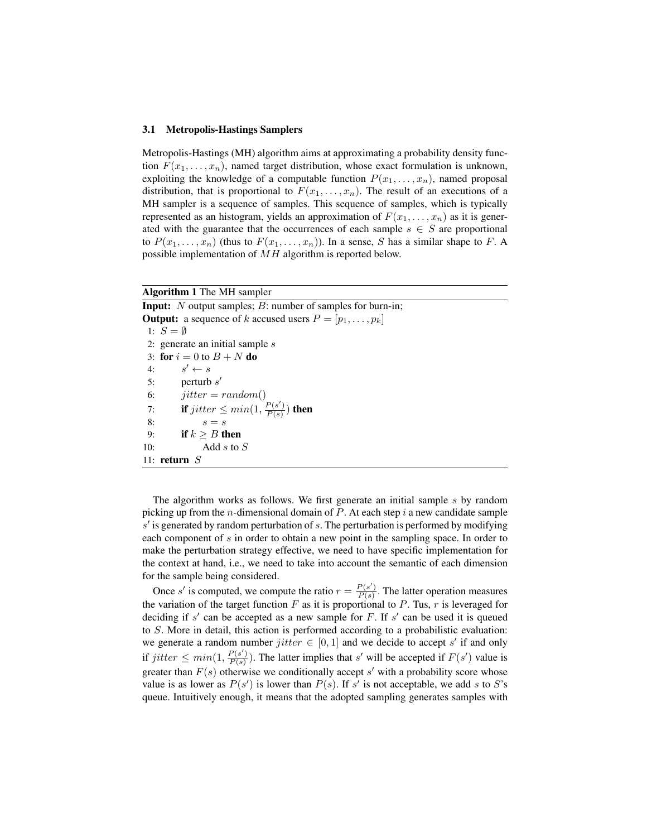#### 3.1 Metropolis-Hastings Samplers

Metropolis-Hastings (MH) algorithm aims at approximating a probability density function  $F(x_1, \ldots, x_n)$ , named target distribution, whose exact formulation is unknown, exploiting the knowledge of a computable function  $P(x_1, \ldots, x_n)$ , named proposal distribution, that is proportional to  $F(x_1, \ldots, x_n)$ . The result of an executions of a MH sampler is a sequence of samples. This sequence of samples, which is typically represented as an histogram, yields an approximation of  $F(x_1, \ldots, x_n)$  as it is generated with the guarantee that the occurrences of each sample  $s \in S$  are proportional to  $P(x_1, \ldots, x_n)$  (thus to  $F(x_1, \ldots, x_n)$ ). In a sense, S has a similar shape to F. A possible implementation of MH algorithm is reported below.

#### Algorithm 1 The MH sampler

Input: N output samples; B: number of samples for burn-in; **Output:** a sequence of k accused users  $P = [p_1, \ldots, p_k]$ 1:  $S = \emptyset$ 2: generate an initial sample s 3: for  $i = 0$  to  $B + N$  do  $4:$  $s' \leftarrow s$ 5: perturb  $s'$ 6:  $jitter = random()$ 7: **if** jitter  $\leq min(1, \frac{P(s')}{P(s)})$  $\frac{P(s^{-})}{P(s)}$ ) then 8:  $s = s$ 9: if  $k \geq B$  then 10: Add  $s$  to  $S$ 11: return S

The algorithm works as follows. We first generate an initial sample s by random picking up from the *n*-dimensional domain of P. At each step i a new candidate sample  $s'$  is generated by random perturbation of  $s$ . The perturbation is performed by modifying each component of s in order to obtain a new point in the sampling space. In order to make the perturbation strategy effective, we need to have specific implementation for the context at hand, i.e., we need to take into account the semantic of each dimension for the sample being considered.

Once s' is computed, we compute the ratio  $r = \frac{P(s')}{P(s)}$  $\frac{P(s)}{P(s)}$ . The latter operation measures the variation of the target function  $F$  as it is proportional to  $P$ . Tus,  $r$  is leveraged for deciding if  $s'$  can be accepted as a new sample for  $F$ . If  $s'$  can be used it is queued to S. More in detail, this action is performed according to a probabilistic evaluation: we generate a random number *jitter*  $\in [0, 1]$  and we decide to accept s' if and only if jitter  $\leq min(1, \frac{P(s')}{P(s)})$  $\frac{P(s')}{P(s)}$ ). The latter implies that s' will be accepted if  $F(s')$  value is greater than  $F(s)$  otherwise we conditionally accept s' with a probability score whose value is as lower as  $P(s')$  is lower than  $P(s)$ . If s' is not acceptable, we add s to S's queue. Intuitively enough, it means that the adopted sampling generates samples with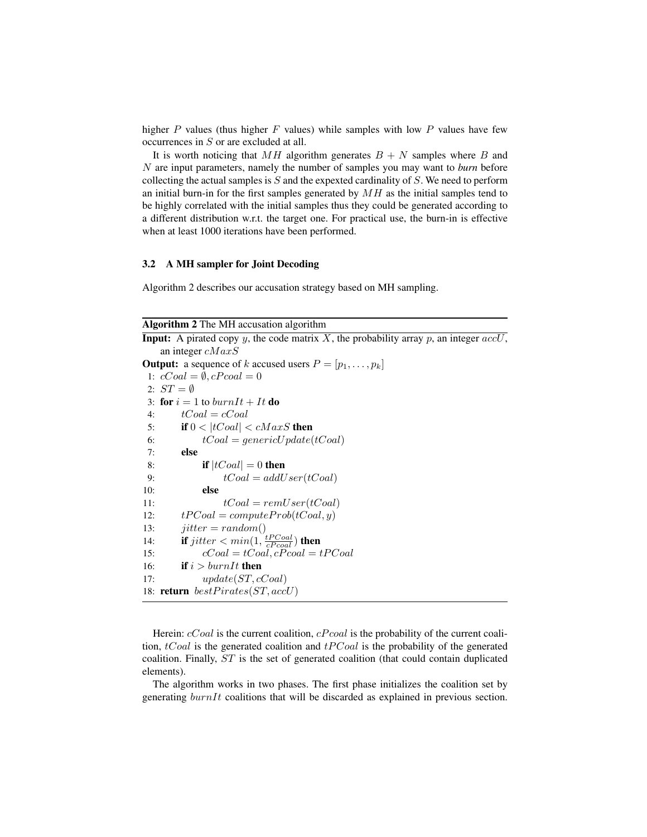higher P values (thus higher F values) while samples with low P values have few occurrences in S or are excluded at all.

It is worth noticing that MH algorithm generates  $B + N$  samples where B and N are input parameters, namely the number of samples you may want to *burn* before collecting the actual samples is  $S$  and the expexted cardinality of  $S$ . We need to perform an initial burn-in for the first samples generated by  $MH$  as the initial samples tend to be highly correlated with the initial samples thus they could be generated according to a different distribution w.r.t. the target one. For practical use, the burn-in is effective when at least 1000 iterations have been performed.

#### 3.2 A MH sampler for Joint Decoding

Algorithm 2 describes our accusation strategy based on MH sampling.

### Algorithm 2 The MH accusation algorithm

```
Input: A pirated copy y, the code matrix X, the probability array p, an integer accU,
   an integer cMaxSOutput: a sequence of k accused users P = [p_1, \ldots, p_k]1: cCoal = \emptyset, cPcoal = 02: ST = \emptyset3: for i = 1 to burnIt + It do
4: tCoal = cCoal5: if 0 < |tCoal| < cMaxS then
6: tCoal = genericUpdate(tCoal)7: else
8: if |tCoal| = 0 then
9: tCoal = addUser(tCoal)10: else
11: tCoal = remUser(tCoal)12: tPCoal = computeProb(tCoal, y)13: jitter = random()14: if jitter < min(1, \frac{tPCoal}{cPcoal}) then
15: cCoal = tCoal, cPcoal = tPCoal16: if i > burnIt then
17: update(ST, cCoal)18: return bestP<sub>irates</sub>(ST, accU)
```
Herein:  $cCoal$  is the current coalition,  $cPcoal$  is the probability of the current coalition,  $tCoal$  is the generated coalition and  $tPCoal$  is the probability of the generated coalition. Finally, ST is the set of generated coalition (that could contain duplicated elements).

The algorithm works in two phases. The first phase initializes the coalition set by generating burnIt coalitions that will be discarded as explained in previous section.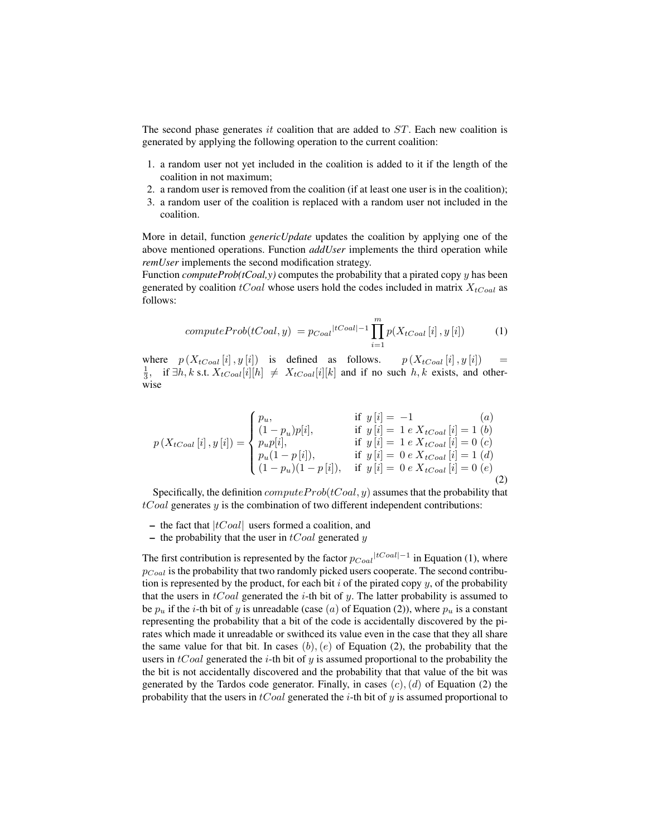The second phase generates it coalition that are added to  $ST$ . Each new coalition is generated by applying the following operation to the current coalition:

- 1. a random user not yet included in the coalition is added to it if the length of the coalition in not maximum;
- 2. a random user is removed from the coalition (if at least one user is in the coalition);
- 3. a random user of the coalition is replaced with a random user not included in the coalition.

More in detail, function *genericUpdate* updates the coalition by applying one of the above mentioned operations. Function *addUser* implements the third operation while *remUser* implements the second modification strategy.

Function *computeProb(tCoal,y)* computes the probability that a pirated copy  $y$  has been generated by coalition  $tCoal$  whose users hold the codes included in matrix  $X_{tCoal}$  as follows:

$$
computeProb(tCoal, y) = p_{Coal}|^{tCoal|-1} \prod_{i=1}^{m} p(X_{tCoal}[i], y[i]) \tag{1}
$$

where  $p(X_{tCoal} [i], y[i])$  is defined as follows.  $p(X_{tCoal} [i], y[i]) =$  $\frac{1}{3}$ , if  $\exists h, k$  s.t.  $X_{tCoal}[i][h] \neq X_{tCoal}[i][k]$  and if no such  $h, k$  exists, and otherwise

$$
p(X_{tCoal}[i], y[i]) = \begin{cases} p_u, & \text{if } y[i] = -1 & (a) \\ (1 - p_u)p[i], & \text{if } y[i] = 1 \ e \ X_{tCoal}[i] = 1 \ (b) \\ p_u p[i], & \text{if } y[i] = 1 \ e \ X_{tCoal}[i] = 0 \ (c) \\ p_u(1 - p[i]), & \text{if } y[i] = 0 \ e \ X_{tCoal}[i] = 1 \ (d) \\ (1 - p_u)(1 - p[i]), & \text{if } y[i] = 0 \ e \ X_{tCoal}[i] = 0 \ (e) \end{cases}
$$
(2)

Specifically, the definition  $computeProb(tCoal, y)$  assumes that the probability that  $tCoal$  generates  $y$  is the combination of two different independent contributions:

– the fact that  $|tCoal|$  users formed a coalition, and

– the probability that the user in  $tCoal$  generated y

The first contribution is represented by the factor  $p_{Coal} | {}^{tCoal} |^{-1}$  in Equation (1), where  $p_{Coal}$  is the probability that two randomly picked users cooperate. The second contribution is represented by the product, for each bit  $i$  of the pirated copy  $y$ , of the probability that the users in  $tCoal$  generated the *i*-th bit of y. The latter probability is assumed to be  $p_u$  if the *i*-th bit of y is unreadable (case (a) of Equation (2)), where  $p_u$  is a constant representing the probability that a bit of the code is accidentally discovered by the pirates which made it unreadable or swithced its value even in the case that they all share the same value for that bit. In cases  $(b), (e)$  of Equation (2), the probability that the users in  $tCoal$  generated the *i*-th bit of y is assumed proportional to the probability the the bit is not accidentally discovered and the probability that that value of the bit was generated by the Tardos code generator. Finally, in cases  $(c)$ ,  $(d)$  of Equation (2) the probability that the users in  $tCoal$  generated the *i*-th bit of *y* is assumed proportional to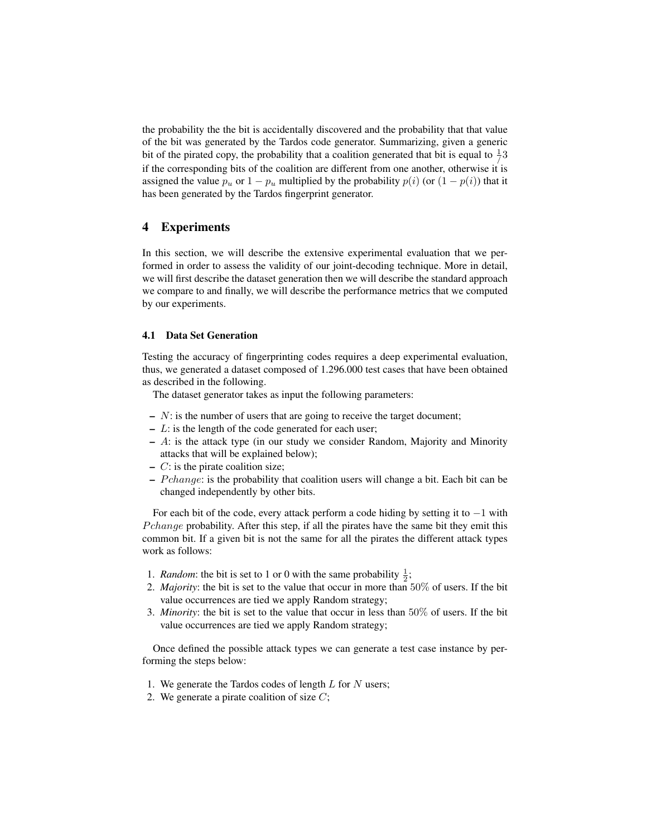the probability the the bit is accidentally discovered and the probability that that value of the bit was generated by the Tardos code generator. Summarizing, given a generic bit of the pirated copy, the probability that a coalition generated that bit is equal to  $\frac{1}{\sqrt{3}}$ if the corresponding bits of the coalition are different from one another, otherwise it is assigned the value  $p_u$  or  $1 - p_u$  multiplied by the probability  $p(i)$  (or  $(1 - p(i))$ ) that it has been generated by the Tardos fingerprint generator.

## 4 Experiments

In this section, we will describe the extensive experimental evaluation that we performed in order to assess the validity of our joint-decoding technique. More in detail, we will first describe the dataset generation then we will describe the standard approach we compare to and finally, we will describe the performance metrics that we computed by our experiments.

### 4.1 Data Set Generation

Testing the accuracy of fingerprinting codes requires a deep experimental evaluation, thus, we generated a dataset composed of 1.296.000 test cases that have been obtained as described in the following.

The dataset generator takes as input the following parameters:

- $N$ : is the number of users that are going to receive the target document;
- $L$ : is the length of the code generated for each user;
- $-$  A: is the attack type (in our study we consider Random, Majority and Minority attacks that will be explained below);
- $-$  C: is the pirate coalition size;
- $-$  *P* change: is the probability that coalition users will change a bit. Each bit can be changed independently by other bits.

For each bit of the code, every attack perform a code hiding by setting it to  $-1$  with Pchange probability. After this step, if all the pirates have the same bit they emit this common bit. If a given bit is not the same for all the pirates the different attack types work as follows:

- 1. *Random*: the bit is set to 1 or 0 with the same probability  $\frac{1}{2}$ ;
- 2. *Majority*: the bit is set to the value that occur in more than 50% of users. If the bit value occurrences are tied we apply Random strategy;
- 3. *Minority*: the bit is set to the value that occur in less than 50% of users. If the bit value occurrences are tied we apply Random strategy;

Once defined the possible attack types we can generate a test case instance by performing the steps below:

- 1. We generate the Tardos codes of length  $L$  for  $N$  users;
- 2. We generate a pirate coalition of size  $C$ ;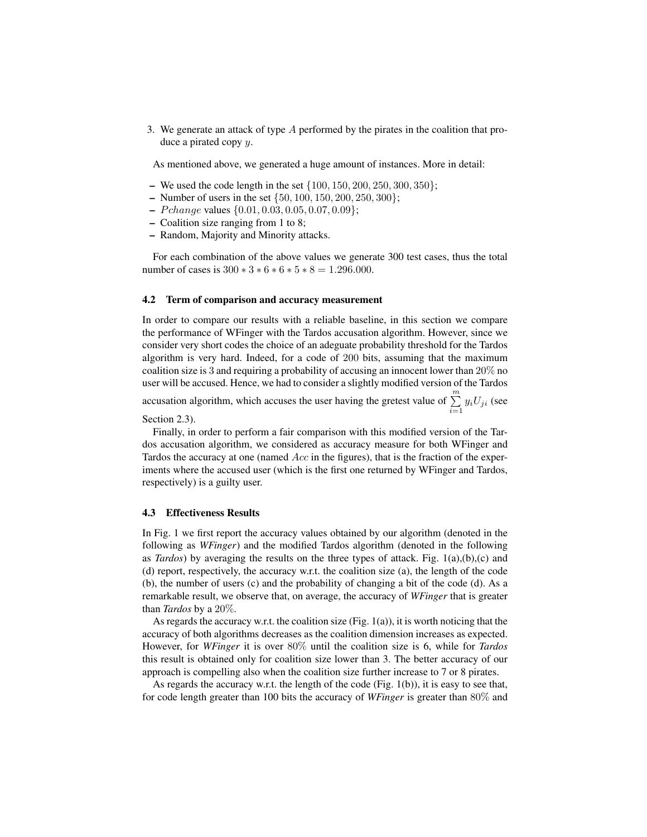3. We generate an attack of type A performed by the pirates in the coalition that produce a pirated copy y.

As mentioned above, we generated a huge amount of instances. More in detail:

- We used the code length in the set  $\{100, 150, 200, 250, 300, 350\}$ ;
- Number of users in the set  $\{50, 100, 150, 200, 250, 300\}$ ;
- $-$  *P* change values  $\{0.01, 0.03, 0.05, 0.07, 0.09\};$
- Coalition size ranging from 1 to 8;
- Random, Majority and Minority attacks.

For each combination of the above values we generate 300 test cases, thus the total number of cases is  $300 * 3 * 6 * 6 * 5 * 8 = 1.296.000$ .

#### 4.2 Term of comparison and accuracy measurement

In order to compare our results with a reliable baseline, in this section we compare the performance of WFinger with the Tardos accusation algorithm. However, since we consider very short codes the choice of an adeguate probability threshold for the Tardos algorithm is very hard. Indeed, for a code of 200 bits, assuming that the maximum coalition size is 3 and requiring a probability of accusing an innocent lower than 20% no user will be accused. Hence, we had to consider a slightly modified version of the Tardos

accusation algorithm, which accuses the user having the gretest value of  $\sum_{i=1}^{m} y_i U_{ji}$  (see Section 2.3).

Finally, in order to perform a fair comparison with this modified version of the Tardos accusation algorithm, we considered as accuracy measure for both WFinger and Tardos the accuracy at one (named Acc in the figures), that is the fraction of the experiments where the accused user (which is the first one returned by WFinger and Tardos, respectively) is a guilty user.

#### 4.3 Effectiveness Results

In Fig. 1 we first report the accuracy values obtained by our algorithm (denoted in the following as *WFinger*) and the modified Tardos algorithm (denoted in the following as *Tardos*) by averaging the results on the three types of attack. Fig. 1(a),(b),(c) and (d) report, respectively, the accuracy w.r.t. the coalition size (a), the length of the code (b), the number of users (c) and the probability of changing a bit of the code (d). As a remarkable result, we observe that, on average, the accuracy of *WFinger* that is greater than *Tardos* by a 20%.

As regards the accuracy w.r.t. the coalition size (Fig.  $1(a)$ ), it is worth noticing that the accuracy of both algorithms decreases as the coalition dimension increases as expected. However, for *WFinger* it is over 80% until the coalition size is 6, while for *Tardos* this result is obtained only for coalition size lower than 3. The better accuracy of our approach is compelling also when the coalition size further increase to 7 or 8 pirates.

As regards the accuracy w.r.t. the length of the code (Fig. 1(b)), it is easy to see that, for code length greater than 100 bits the accuracy of *WFinger* is greater than 80% and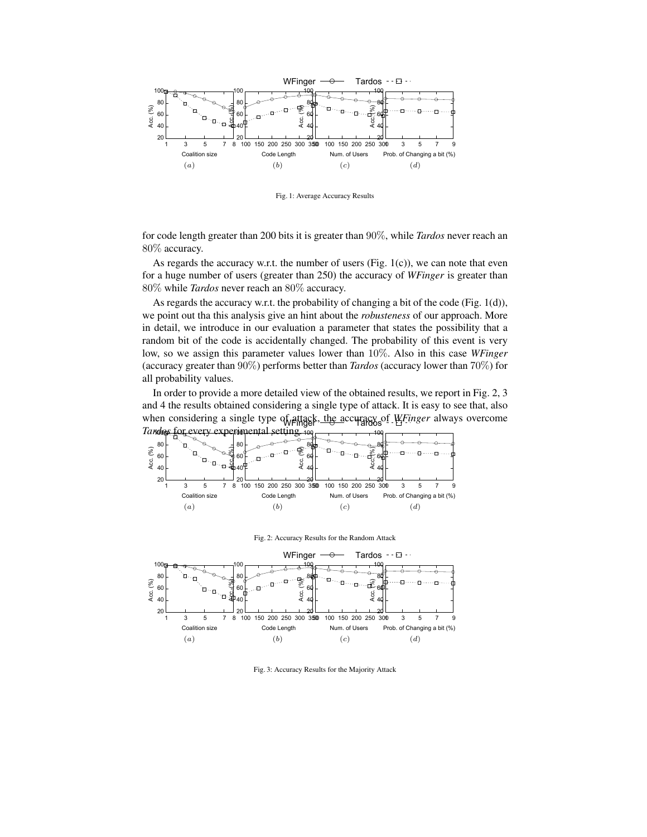

Fig. 1: Average Accuracy Results

for code length greater than 200 bits it is greater than 90%, while *Tardos* never reach an 80% accuracy.

As regards the accuracy w.r.t. the number of users (Fig.  $1(c)$ ), we can note that even for a huge number of users (greater than 250) the accuracy of *WFinger* is greater than 80% while *Tardos* never reach an 80% accuracy.

As regards the accuracy w.r.t. the probability of changing a bit of the code (Fig. 1(d)), we point out tha this analysis give an hint about the *robusteness* of our approach. More in detail, we introduce in our evaluation a parameter that states the possibility that a random bit of the code is accidentally changed. The probability of this event is very low, so we assign this parameter values lower than 10%. Also in this case *WFinger* (accuracy greater than 90%) performs better than *Tardos* (accuracy lower than 70%) for all probability values.

In order to provide a more detailed view of the obtained results, we report in Fig. 2, 3 and 4 the results obtained considering a single type of attack. It is easy to see that, also when considering a single type of attack, the accuracy of *WFinger* always overcome Tandoa





Fig. 3: Accuracy Results for the Majority Attack